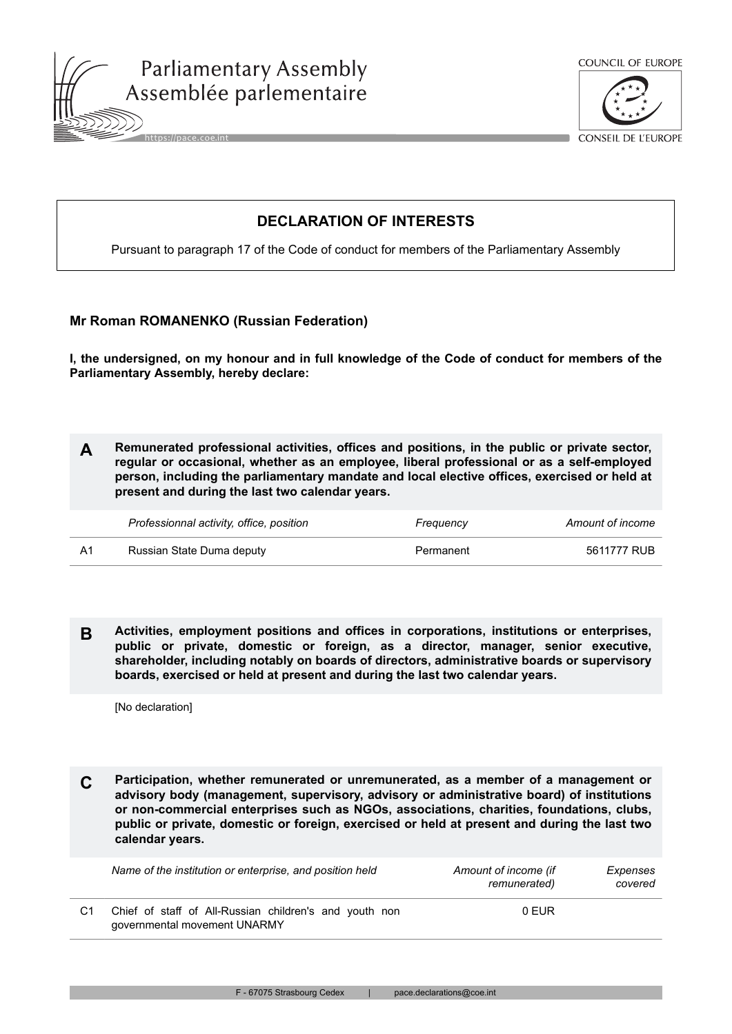





**CONSEIL DE L'EUROPE** 

## **DECLARATION OF INTERESTS**

Pursuant to paragraph 17 of the Code of conduct for members of the Parliamentary Assembly

## **Mr Roman ROMANENKO (Russian Federation)**

**I, the undersigned, on my honour and in full knowledge of the Code of conduct for members of the Parliamentary Assembly, hereby declare:**

**A Remunerated professional activities, offices and positions, in the public or private sector, regular or occasional, whether as an employee, liberal professional or as a self-employed person, including the parliamentary mandate and local elective offices, exercised or held at present and during the last two calendar years.**

| Professionnal activity, office, position | Frequency | Amount of income |
|------------------------------------------|-----------|------------------|
| Russian State Duma deputy                | Permanent | 5611777 RUB      |

**B Activities, employment positions and offices in corporations, institutions or enterprises, public or private, domestic or foreign, as a director, manager, senior executive, shareholder, including notably on boards of directors, administrative boards or supervisory boards, exercised or held at present and during the last two calendar years.**

[No declaration]

**C Participation, whether remunerated or unremunerated, as a member of a management or advisory body (management, supervisory, advisory or administrative board) of institutions or non-commercial enterprises such as NGOs, associations, charities, foundations, clubs, public or private, domestic or foreign, exercised or held at present and during the last two calendar years.**

|    | Name of the institution or enterprise, and position held                               | Amount of income (if<br>remunerated) | Expenses<br>covered |
|----|----------------------------------------------------------------------------------------|--------------------------------------|---------------------|
| C1 | Chief of staff of All-Russian children's and youth non<br>governmental movement UNARMY | 0 EUR                                |                     |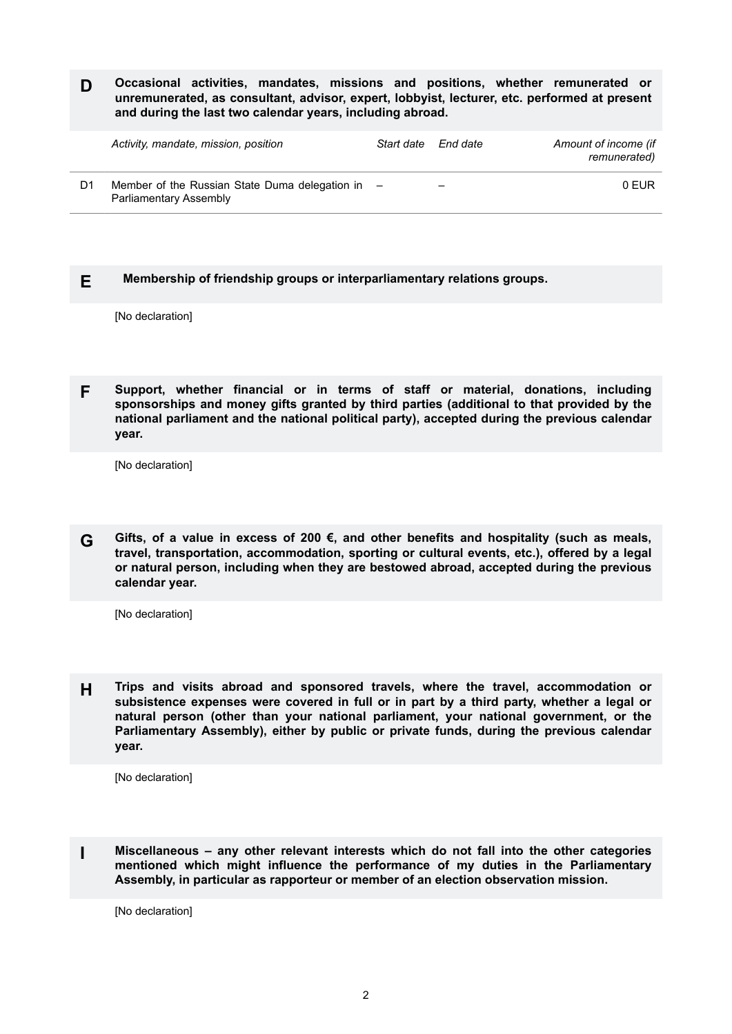**D Occasional activities, mandates, missions and positions, whether remunerated or unremunerated, as consultant, advisor, expert, lobbyist, lecturer, etc. performed at present and during the last two calendar years, including abroad.**

|    | Activity, mandate, mission, position                                         | Start date | End date                 | Amount of income (if<br>remunerated) |
|----|------------------------------------------------------------------------------|------------|--------------------------|--------------------------------------|
| D1 | Member of the Russian State Duma delegation in $-$<br>Parliamentary Assembly |            | $\overline{\phantom{0}}$ | 0 FUR                                |

## **E Membership of friendship groups or interparliamentary relations groups.**

[No declaration]

**F Support, whether financial or in terms of staff or material, donations, including sponsorships and money gifts granted by third parties (additional to that provided by the national parliament and the national political party), accepted during the previous calendar year.**

[No declaration]

**G Gifts, of a value in excess of 200 €, and other benefits and hospitality (such as meals, travel, transportation, accommodation, sporting or cultural events, etc.), offered by a legal or natural person, including when they are bestowed abroad, accepted during the previous calendar year.**

[No declaration]

**H Trips and visits abroad and sponsored travels, where the travel, accommodation or subsistence expenses were covered in full or in part by a third party, whether a legal or natural person (other than your national parliament, your national government, or the Parliamentary Assembly), either by public or private funds, during the previous calendar year.**

[No declaration]

**I Miscellaneous – any other relevant interests which do not fall into the other categories mentioned which might influence the performance of my duties in the Parliamentary Assembly, in particular as rapporteur or member of an election observation mission.**

[No declaration]